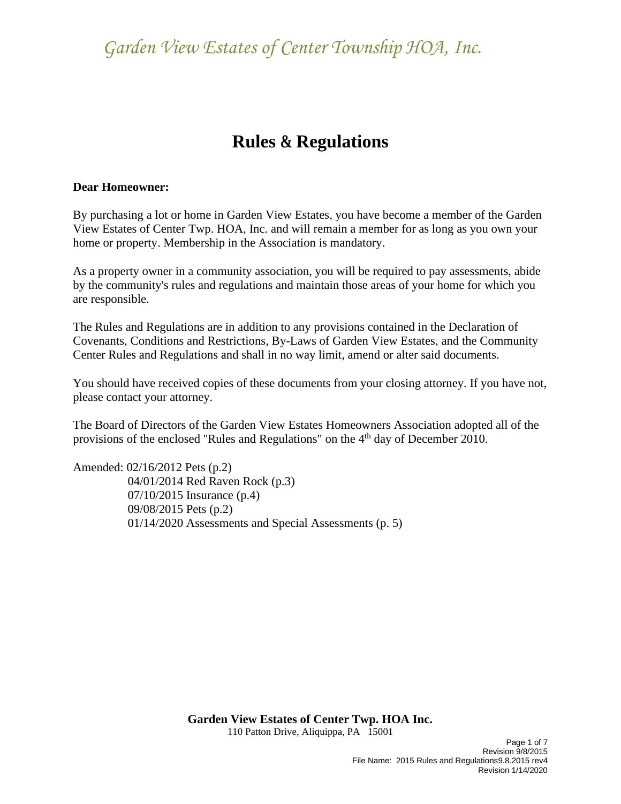### **Rules & Regulations**

#### **Dear Homeowner:**

By purchasing a lot or home in Garden View Estates, you have become a member of the Garden View Estates of Center Twp. HOA, Inc. and will remain a member for as long as you own your home or property. Membership in the Association is mandatory.

As a property owner in a community association, you will be required to pay assessments, abide by the community's rules and regulations and maintain those areas of your home for which you are responsible.

The Rules and Regulations are in addition to any provisions contained in the Declaration of Covenants, Conditions and Restrictions, By-Laws of Garden View Estates, and the Community Center Rules and Regulations and shall in no way limit, amend or alter said documents.

You should have received copies of these documents from your closing attorney. If you have not, please contact your attorney.

The Board of Directors of the Garden View Estates Homeowners Association adopted all of the provisions of the enclosed "Rules and Regulations" on the 4<sup>th</sup> day of December 2010.

Amended: 02/16/2012 Pets (p.2) 04/01/2014 Red Raven Rock (p.3) 07/10/2015 Insurance (p.4) 09/08/2015 Pets (p.2) 01/14/2020 Assessments and Special Assessments (p. 5)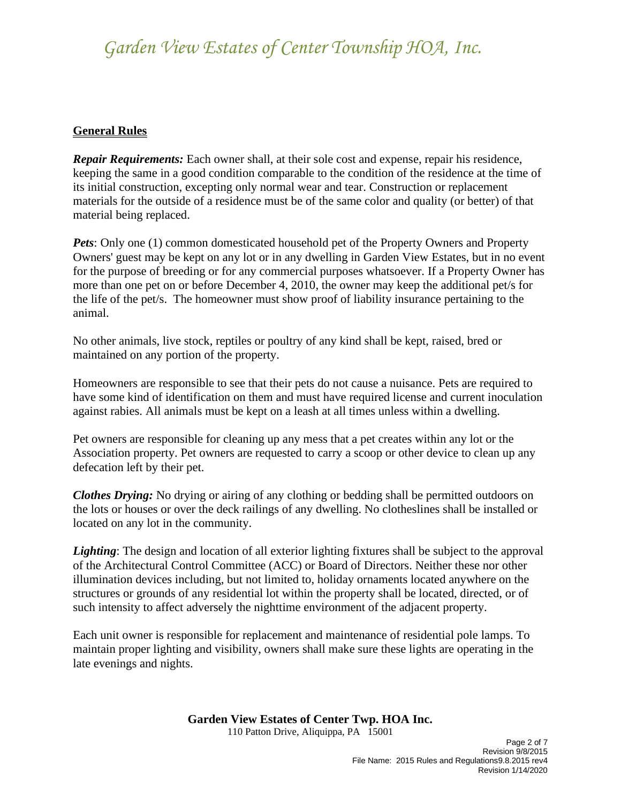### **General Rules**

*Repair Requirements:* Each owner shall, at their sole cost and expense, repair his residence, keeping the same in a good condition comparable to the condition of the residence at the time of its initial construction, excepting only normal wear and tear. Construction or replacement materials for the outside of a residence must be of the same color and quality (or better) of that material being replaced.

*Pets*: Only one (1) common domesticated household pet of the Property Owners and Property Owners' guest may be kept on any lot or in any dwelling in Garden View Estates, but in no event for the purpose of breeding or for any commercial purposes whatsoever. If a Property Owner has more than one pet on or before December 4, 2010, the owner may keep the additional pet/s for the life of the pet/s. The homeowner must show proof of liability insurance pertaining to the animal.

No other animals, live stock, reptiles or poultry of any kind shall be kept, raised, bred or maintained on any portion of the property.

Homeowners are responsible to see that their pets do not cause a nuisance. Pets are required to have some kind of identification on them and must have required license and current inoculation against rabies. All animals must be kept on a leash at all times unless within a dwelling.

Pet owners are responsible for cleaning up any mess that a pet creates within any lot or the Association property. Pet owners are requested to carry a scoop or other device to clean up any defecation left by their pet.

*Clothes Drying:* No drying or airing of any clothing or bedding shall be permitted outdoors on the lots or houses or over the deck railings of any dwelling. No clotheslines shall be installed or located on any lot in the community.

*Lighting*: The design and location of all exterior lighting fixtures shall be subject to the approval of the Architectural Control Committee (ACC) or Board of Directors. Neither these nor other illumination devices including, but not limited to, holiday ornaments located anywhere on the structures or grounds of any residential lot within the property shall be located, directed, or of such intensity to affect adversely the nighttime environment of the adjacent property.

Each unit owner is responsible for replacement and maintenance of residential pole lamps. To maintain proper lighting and visibility, owners shall make sure these lights are operating in the late evenings and nights.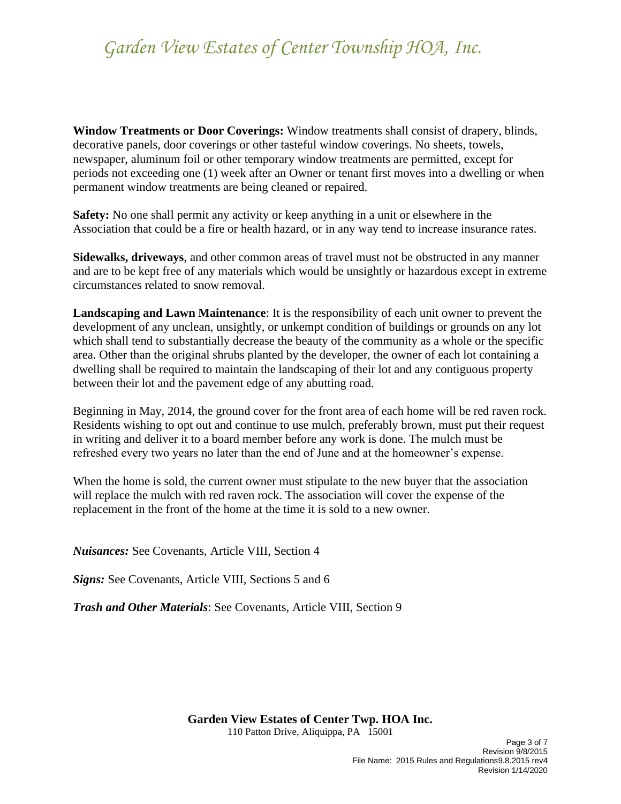**Window Treatments or Door Coverings:** Window treatments shall consist of drapery, blinds, decorative panels, door coverings or other tasteful window coverings. No sheets, towels, newspaper, aluminum foil or other temporary window treatments are permitted, except for periods not exceeding one (1) week after an Owner or tenant first moves into a dwelling or when permanent window treatments are being cleaned or repaired.

**Safety:** No one shall permit any activity or keep anything in a unit or elsewhere in the Association that could be a fire or health hazard, or in any way tend to increase insurance rates.

**Sidewalks, driveways**, and other common areas of travel must not be obstructed in any manner and are to be kept free of any materials which would be unsightly or hazardous except in extreme circumstances related to snow removal.

**Landscaping and Lawn Maintenance**: It is the responsibility of each unit owner to prevent the development of any unclean, unsightly, or unkempt condition of buildings or grounds on any lot which shall tend to substantially decrease the beauty of the community as a whole or the specific area. Other than the original shrubs planted by the developer, the owner of each lot containing a dwelling shall be required to maintain the landscaping of their lot and any contiguous property between their lot and the pavement edge of any abutting road.

Beginning in May, 2014, the ground cover for the front area of each home will be red raven rock. Residents wishing to opt out and continue to use mulch, preferably brown, must put their request in writing and deliver it to a board member before any work is done. The mulch must be refreshed every two years no later than the end of June and at the homeowner's expense.

When the home is sold, the current owner must stipulate to the new buyer that the association will replace the mulch with red raven rock. The association will cover the expense of the replacement in the front of the home at the time it is sold to a new owner.

*Nuisances:* See Covenants, Article VIII, Section 4

*Signs:* See Covenants, Article VIII, Sections 5 and 6

*Trash and Other Materials*: See Covenants, Article VIII, Section 9

**Garden View Estates of Center Twp. HOA Inc.**

110 Patton Drive, Aliquippa, PA 15001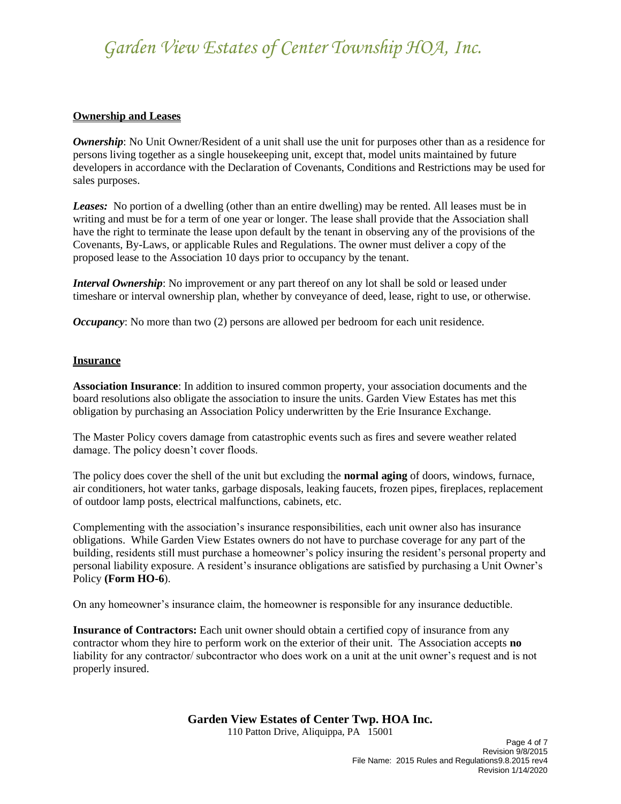#### **Ownership and Leases**

*Ownership*: No Unit Owner/Resident of a unit shall use the unit for purposes other than as a residence for persons living together as a single housekeeping unit, except that, model units maintained by future developers in accordance with the Declaration of Covenants, Conditions and Restrictions may be used for sales purposes.

*Leases:* No portion of a dwelling (other than an entire dwelling) may be rented. All leases must be in writing and must be for a term of one year or longer. The lease shall provide that the Association shall have the right to terminate the lease upon default by the tenant in observing any of the provisions of the Covenants, By-Laws, or applicable Rules and Regulations. The owner must deliver a copy of the proposed lease to the Association 10 days prior to occupancy by the tenant.

*Interval Ownership*: No improvement or any part thereof on any lot shall be sold or leased under timeshare or interval ownership plan, whether by conveyance of deed, lease, right to use, or otherwise.

*Occupancy*: No more than two (2) persons are allowed per bedroom for each unit residence.

#### **Insurance**

**Association Insurance**: In addition to insured common property, your association documents and the board resolutions also obligate the association to insure the units. Garden View Estates has met this obligation by purchasing an Association Policy underwritten by the Erie Insurance Exchange.

The Master Policy covers damage from catastrophic events such as fires and severe weather related damage. The policy doesn't cover floods.

The policy does cover the shell of the unit but excluding the **normal aging** of doors, windows, furnace, air conditioners, hot water tanks, garbage disposals, leaking faucets, frozen pipes, fireplaces, replacement of outdoor lamp posts, electrical malfunctions, cabinets, etc.

Complementing with the association's insurance responsibilities, each unit owner also has insurance obligations. While Garden View Estates owners do not have to purchase coverage for any part of the building, residents still must purchase a homeowner's policy insuring the resident's personal property and personal liability exposure. A resident's insurance obligations are satisfied by purchasing a Unit Owner's Policy **(Form HO-6**).

On any homeowner's insurance claim, the homeowner is responsible for any insurance deductible.

**Insurance of Contractors:** Each unit owner should obtain a certified copy of insurance from any contractor whom they hire to perform work on the exterior of their unit. The Association accepts **no** liability for any contractor/ subcontractor who does work on a unit at the unit owner's request and is not properly insured.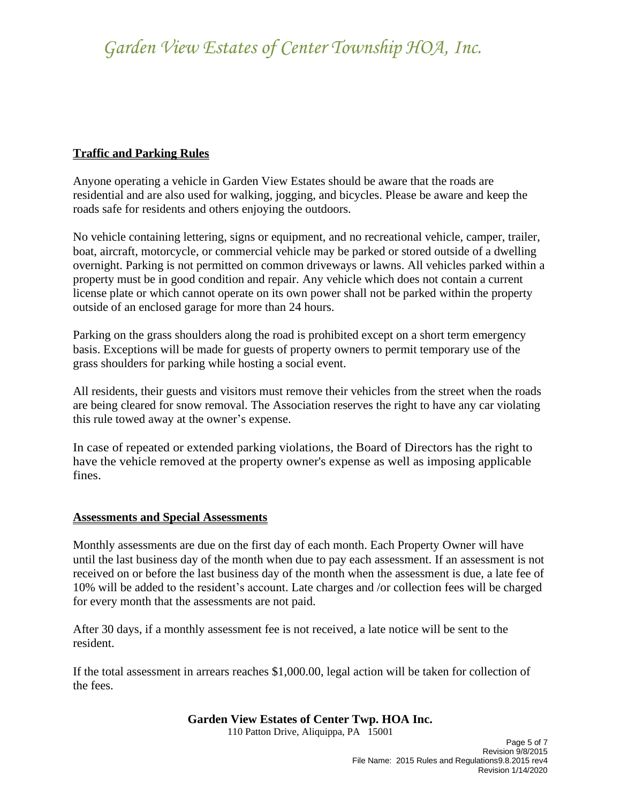### **Traffic and Parking Rules**

Anyone operating a vehicle in Garden View Estates should be aware that the roads are residential and are also used for walking, jogging, and bicycles. Please be aware and keep the roads safe for residents and others enjoying the outdoors.

No vehicle containing lettering, signs or equipment, and no recreational vehicle, camper, trailer, boat, aircraft, motorcycle, or commercial vehicle may be parked or stored outside of a dwelling overnight. Parking is not permitted on common driveways or lawns. All vehicles parked within a property must be in good condition and repair. Any vehicle which does not contain a current license plate or which cannot operate on its own power shall not be parked within the property outside of an enclosed garage for more than 24 hours.

Parking on the grass shoulders along the road is prohibited except on a short term emergency basis. Exceptions will be made for guests of property owners to permit temporary use of the grass shoulders for parking while hosting a social event.

All residents, their guests and visitors must remove their vehicles from the street when the roads are being cleared for snow removal. The Association reserves the right to have any car violating this rule towed away at the owner's expense.

In case of repeated or extended parking violations, the Board of Directors has the right to have the vehicle removed at the property owner's expense as well as imposing applicable fines.

### **Assessments and Special Assessments**

Monthly assessments are due on the first day of each month. Each Property Owner will have until the last business day of the month when due to pay each assessment. If an assessment is not received on or before the last business day of the month when the assessment is due, a late fee of 10% will be added to the resident's account. Late charges and /or collection fees will be charged for every month that the assessments are not paid.

After 30 days, if a monthly assessment fee is not received, a late notice will be sent to the resident.

If the total assessment in arrears reaches \$1,000.00, legal action will be taken for collection of the fees.

### **Garden View Estates of Center Twp. HOA Inc.**

110 Patton Drive, Aliquippa, PA 15001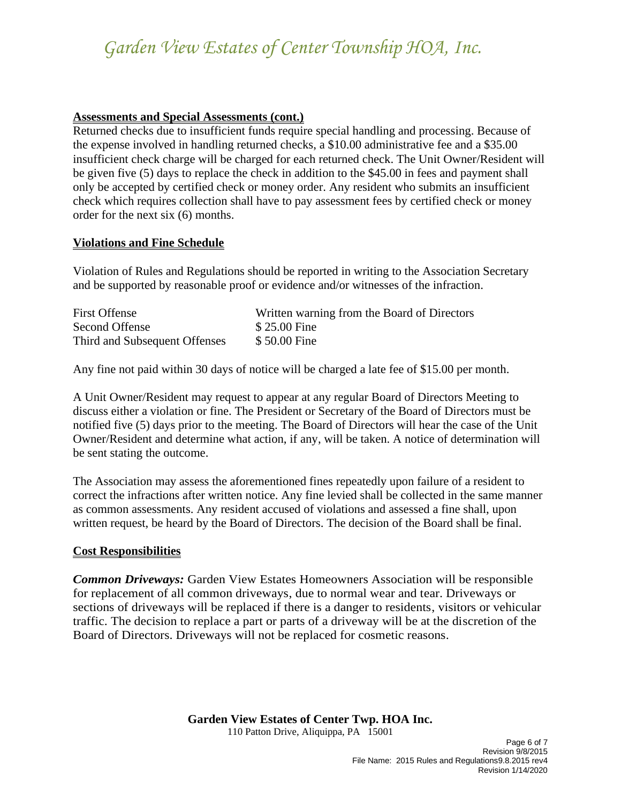#### **Assessments and Special Assessments (cont.)**

Returned checks due to insufficient funds require special handling and processing. Because of the expense involved in handling returned checks, a \$10.00 administrative fee and a \$35.00 insufficient check charge will be charged for each returned check. The Unit Owner/Resident will be given five (5) days to replace the check in addition to the \$45.00 in fees and payment shall only be accepted by certified check or money order. Any resident who submits an insufficient check which requires collection shall have to pay assessment fees by certified check or money order for the next six (6) months.

#### **Violations and Fine Schedule**

Violation of Rules and Regulations should be reported in writing to the Association Secretary and be supported by reasonable proof or evidence and/or witnesses of the infraction.

| <b>First Offense</b>          | Written warning from the Board of Directors |
|-------------------------------|---------------------------------------------|
| Second Offense                | \$25.00 Fine                                |
| Third and Subsequent Offenses | \$50.00 Fine                                |

Any fine not paid within 30 days of notice will be charged a late fee of \$15.00 per month.

A Unit Owner/Resident may request to appear at any regular Board of Directors Meeting to discuss either a violation or fine. The President or Secretary of the Board of Directors must be notified five (5) days prior to the meeting. The Board of Directors will hear the case of the Unit Owner/Resident and determine what action, if any, will be taken. A notice of determination will be sent stating the outcome.

The Association may assess the aforementioned fines repeatedly upon failure of a resident to correct the infractions after written notice. Any fine levied shall be collected in the same manner as common assessments. Any resident accused of violations and assessed a fine shall, upon written request, be heard by the Board of Directors. The decision of the Board shall be final.

### **Cost Responsibilities**

*Common Driveways:* Garden View Estates Homeowners Association will be responsible for replacement of all common driveways, due to normal wear and tear. Driveways or sections of driveways will be replaced if there is a danger to residents, visitors or vehicular traffic. The decision to replace a part or parts of a driveway will be at the discretion of the Board of Directors. Driveways will not be replaced for cosmetic reasons.